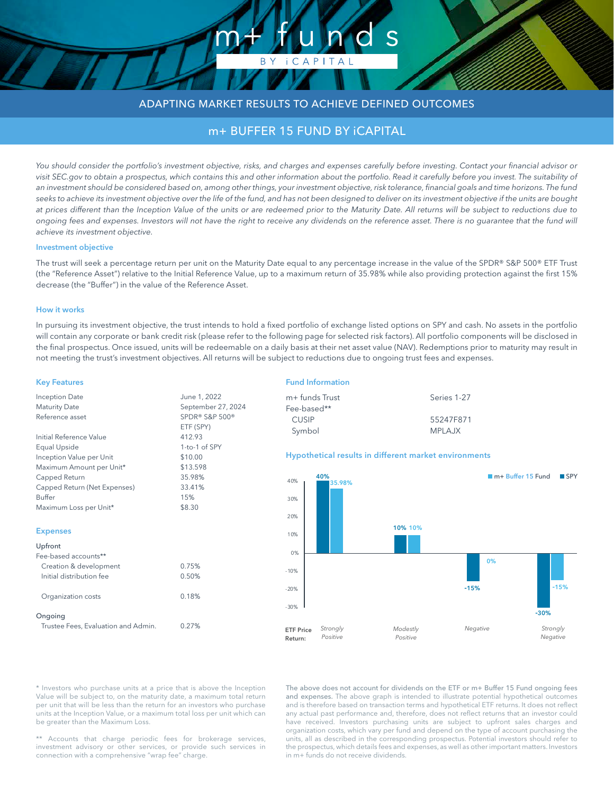# B  $APIT$

ADAPTING MARKET RESULTS TO ACHIEVE DEFINED OUTCOMES

### m+ BUFFER 15 FUND BY iCAPITAL

*You should consider the portfolio's investment objective, risks, and charges and expenses carefully before investing. Contact your financial advisor or*  visit SEC.gov to obtain a prospectus, which contains this and other information about the portfolio. Read it carefully before you invest. The suitability of *an investment should be considered based on, among other things, your investment objective, risk tolerance, financial goals and time horizons. The fund seeks to achieve its investment objective over the life of the fund, and has not been designed to deliver on its investment objective if the units are bought at prices different than the Inception Value of the units or are redeemed prior to the Maturity Date. All returns will be subject to reductions due to*  ongoing fees and expenses. Investors will not have the right to receive any dividends on the reference asset. There is no guarantee that the fund will *achieve its investment objective.*

#### Investment objective

The trust will seek a percentage return per unit on the Maturity Date equal to any percentage increase in the value of the SPDR® S&P 500® ETF Trust (the "Reference Asset") relative to the Initial Reference Value, up to a maximum return of 35.98% while also providing protection against the first 15% decrease (the "Buffer") in the value of the Reference Asset.

#### How it works

In pursuing its investment objective, the trust intends to hold a fixed portfolio of exchange listed options on SPY and cash. No assets in the portfolio will contain any corporate or bank credit risk (please refer to the following page for selected risk factors). All portfolio components will be disclosed in the final prospectus. Once issued, units will be redeemable on a daily basis at their net asset value (NAV). Redemptions prior to maturity may result in not meeting the trust's investment objectives. All returns will be subject to reductions due to ongoing trust fees and expenses.

#### Key Features

Expenses Upfront

Ongoing

Fee-based accounts\*\*

Maximum Amount per Unit\* \$13.598 Capped Return 35.98% Capped Return (Net Expenses) 33.41% Buffer 15% Maximum Loss per Unit\* \$8.30

Creation & development 0.75% Initial distribution fee 0.50% Organization costs 0.18%

#### Fund Information

| June 1, 2022       | m+ funds Trust                                       | Series 1-27   |
|--------------------|------------------------------------------------------|---------------|
| September 27, 2024 | Fee-based**                                          |               |
| SPDR® S&P 500®     |                                                      | 55247F871     |
| ETF (SPY)          | Symbol                                               | <b>MPLAJX</b> |
| 412.93             |                                                      |               |
| 1-to-1 of SPY      |                                                      |               |
| \$10.00            | Hypothetical results in different market environment |               |
|                    |                                                      | <b>CUSIP</b>  |



\* Investors who purchase units at a price that is above the Inception Value will be subject to, on the maturity date, a maximum total return per unit that will be less than the return for an investors who purchase units at the Inception Value, or a maximum total loss per unit which can be greater than the Maximum Loss.

\*\* Accounts that charge periodic fees for brokerage services, investment advisory or other services, or provide such services in connection with a comprehensive "wrap fee" charge.

The above does not account for dividends on the ETF or m+ Buffer 15 Fund ongoing fees and expenses. The above graph is intended to illustrate potential hypothetical outcomes and is therefore based on transaction terms and hypothetical ETF returns. It does not reflect any actual past performance and, therefore, does not reflect returns that an investor could have received. Investors purchasing units are subject to upfront sales charges and organization costs, which vary per fund and depend on the type of account purchasing the units, all as described in the corresponding prospectus. Potential investors should refer to the prospectus, which details fees and expenses, as well as other important matters. Investors in m+ funds do not receive dividends.